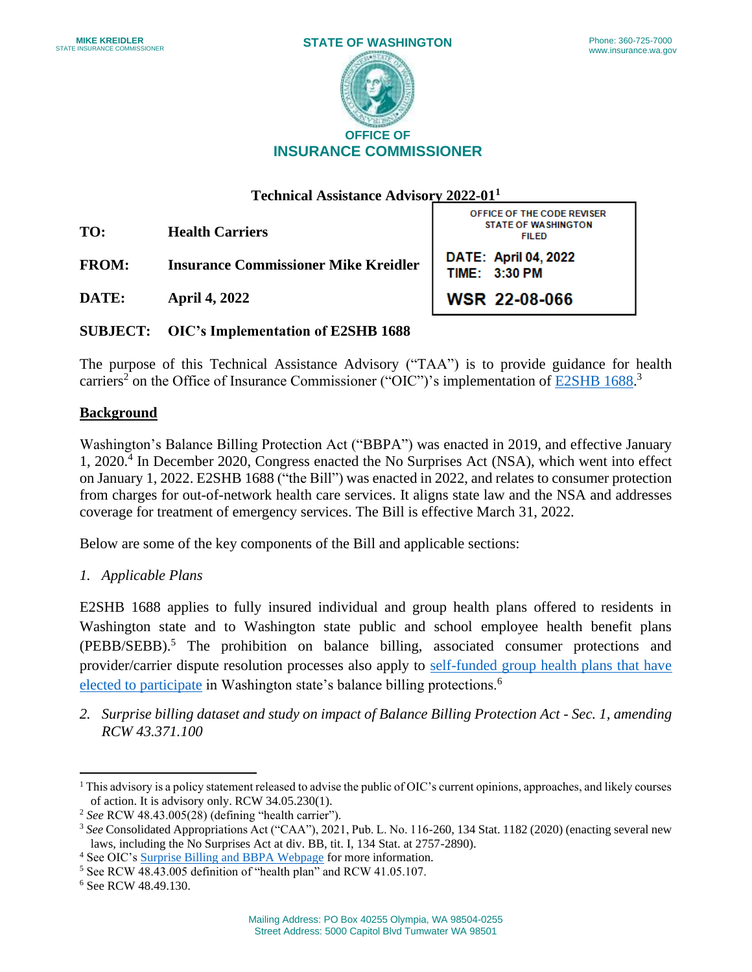

**Technical Assistance Advisory 2022-011** 

**TO: Health Carriers** 

**FROM: Insurance Commissioner Mike Kreidler** 

**DATE: April 4, 2022** 

OFFICE OF THE CODE REVISER STATE OF WASHINGTON FILED DATE: April 04, 2022 TIME: 3:30 PM **WSIR** 22-08-066

**SUBJECT: OIC's Implementation of E2SHB 1688** 

 The purpose of this Technical Assistance Advisory ("TAA") is to provide guidance for health carriers<sup>2</sup> on the Office of Insurance Commissioner ("OIC")'s implementation of **E2SHB** 1688.<sup>3</sup>

### **Background**

 Washington's Balance Billing Protection Act ("BBPA") was enacted in 2019, and effective January from charges for out-of-network health care services. It aligns state law and the NSA and addresses 1,  $2020$ .<sup>4</sup> In December 2020, Congress enacted the No Surprises Act (NSA), which went into effect on January 1, 2022. E2SHB 1688 ("the Bill") was enacted in 2022, and relates to consumer protection coverage for treatment of emergency services. The Bill is effective March 31, 2022.

Below are some of the key components of the Bill and applicable sections:

*1. Applicable Plans* 

 Washington state and to Washington state public and school employee health benefit plans provider/carrier dispute resolution processes also apply to self-funded group health plans that have E2SHB 1688 applies to fully insured individual and group health plans offered to residents in (PEBB/SEBB).5 The prohibition on balance billing, associated consumer protections and [elected to participate](https://www.insurance.wa.gov/self-funded-group-health-plans) in Washington state's balance billing protections.<sup>6</sup>

*2. Surprise billing dataset and study on impact of Balance Billing Protection Act - Sec. 1, amending RCW 43.371.100* 

 $1$  This advisory is a policy statement released to advise the public of OIC's current opinions, approaches, and likely courses of action. It is advisory only. RCW 34.05.230(1).

 of action. It is advisory only. RCW 34.05.230(1). 2 *See* RCW 48.43.005(28) (defining "health carrier").

<sup>&</sup>lt;sup>3</sup> See Consolidated Appropriations Act ("CAA"), 2021, Pub. L. No. 116-260, 134 Stat. 1182 (2020) (enacting several new laws, including the No Surprises Act at div. BB, tit. I, 134 Stat. at 2757-2890). laws, including the No Surprises Act at div. BB, tit. I, 134 Stat. at 2757-2890).<br><sup>4</sup> See OIC's <u>Surprise Billing and BBPA Webpage</u> for more information.<br><sup>5</sup> See RCW 48.43.005 definition of "health plan" and RCW 41.05.107.

 $\overline{a}$ 

<sup>&</sup>lt;sup>5</sup> See RCW 48.43.005 definition of "health plan" and RCW 41.05.107.

<sup>6</sup> See RCW 48.49.130.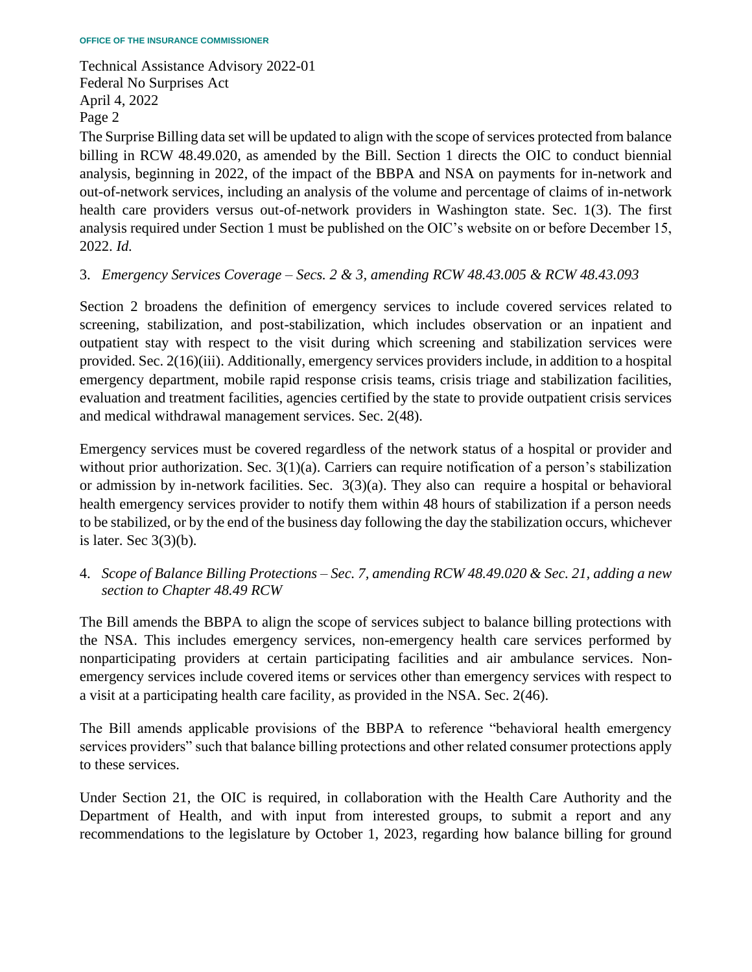The Surprise Billing data set will be updated to align with the scope of services protected from balance analysis required under Section 1 must be published on the OIC's website on or before December 15, billing in RCW 48.49.020, as amended by the Bill. Section 1 directs the OIC to conduct biennial analysis, beginning in 2022, of the impact of the BBPA and NSA on payments for in-network and out-of-network services, including an analysis of the volume and percentage of claims of in-network health care providers versus out-of-network providers in Washington state. Sec. 1(3). The first 2022. *Id.* 

3. *Emergency Services Coverage – Secs. 2 & 3, amending RCW 48.43.005 & RCW 48.43.093* 

 outpatient stay with respect to the visit during which screening and stabilization services were provided. Sec. 2(16)(iii). Additionally, emergency services providers include, in addition to a hospital evaluation and treatment facilities, agencies certified by the state to provide outpatient crisis services Section 2 broadens the definition of emergency services to include covered services related to screening, stabilization, and post-stabilization, which includes observation or an inpatient and emergency department, mobile rapid response crisis teams, crisis triage and stabilization facilities, and medical withdrawal management services. Sec. 2(48).

 Emergency services must be covered regardless of the network status of a hospital or provider and without prior authorization. Sec. 3(1)(a). Carriers can require notification of a person's stabilization or admission by in-network facilities. Sec. 3(3)(a). They also can require a hospital or behavioral health emergency services provider to notify them within 48 hours of stabilization if a person needs to be stabilized, or by the end of the business day following the day the stabilization occurs, whichever is later. Sec  $3(3)(b)$ .

4. *Scope of Balance Billing Protections – Sec. 7, amending RCW 48.49.020 & Sec. 21, adding a new section to Chapter 48.49 RCW* 

The Bill amends the BBPA to align the scope of services subject to balance billing protections with the NSA. This includes emergency services, non-emergency health care services performed by nonparticipating providers at certain participating facilities and air ambulance services. Nonemergency services include covered items or services other than emergency services with respect to a visit at a participating health care facility, as provided in the NSA. Sec. 2(46).

The Bill amends applicable provisions of the BBPA to reference "behavioral health emergency services providers" such that balance billing protections and other related consumer protections apply to these services.

 recommendations to the legislature by October 1, 2023, regarding how balance billing for ground Under Section 21, the OIC is required, in collaboration with the Health Care Authority and the Department of Health, and with input from interested groups, to submit a report and any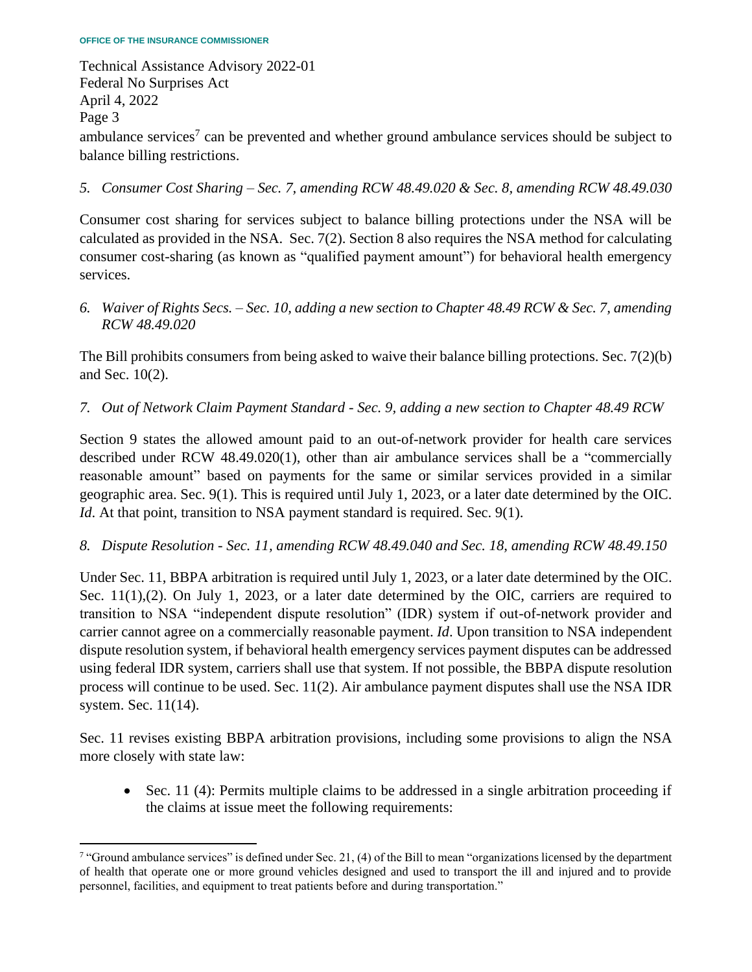Technical Assistance Advisory 2022-01 Federal No Surprises Act April 4, 2022 Page 3 ambulance services<sup>7</sup> can be prevented and whether ground ambulance services should be subject to balance billing restrictions.

## *5. Consumer Cost Sharing – Sec. 7, amending RCW 48.49.020 & Sec. 8, amending RCW 48.49.030*

 Consumer cost sharing for services subject to balance billing protections under the NSA will be calculated as provided in the NSA. Sec. 7(2). Section 8 also requires the NSA method for calculating consumer cost-sharing (as known as "qualified payment amount") for behavioral health emergency services.

*6. Waiver of Rights Secs. – Sec. 10, adding a new section to Chapter 48.49 RCW & Sec. 7, amending RCW 48.49.020* 

 The Bill prohibits consumers from being asked to waive their balance billing protections. Sec. 7(2)(b) and Sec. 10(2).

## *7. Out of Network Claim Payment Standard - Sec. 9, adding a new section to Chapter 48.49 RCW*

 Section 9 states the allowed amount paid to an out-of-network provider for health care services described under RCW 48.49.020(1), other than air ambulance services shall be a "commercially reasonable amount" based on payments for the same or similar services provided in a similar geographic area. Sec. 9(1). This is required until July 1, 2023, or a later date determined by the OIC. *Id*. At that point, transition to NSA payment standard is required. Sec. 9(1).

## *8. Dispute Resolution - Sec. 11, amending RCW 48.49.040 and Sec. 18, amending RCW 48.49.150*

Sec. 11(1),(2). On July 1, 2023, or a later date determined by the OIC, carriers are required to dispute resolution system, if behavioral health emergency services payment disputes can be addressed process will continue to be used. Sec. 11(2). Air ambulance payment disputes shall use the NSA IDR Under Sec. 11, BBPA arbitration is required until July 1, 2023, or a later date determined by the OIC. transition to NSA "independent dispute resolution" (IDR) system if out-of-network provider and carrier cannot agree on a commercially reasonable payment. *Id*. Upon transition to NSA independent using federal IDR system, carriers shall use that system. If not possible, the BBPA dispute resolution system. Sec. 11(14).

Sec. 11 revises existing BBPA arbitration provisions, including some provisions to align the NSA more closely with state law:

 • Sec. 11 (4): Permits multiple claims to be addressed in a single arbitration proceeding if the claims at issue meet the following requirements:

 $\alpha$  "Ground ambulance services" is defined under Sec. 21, (4) of the Bill to mean "organizations licensed by the department" of health that operate one or more ground vehicles designed and used to transport the ill and injured and to provide personnel, facilities, and equipment to treat patients before and during transportation."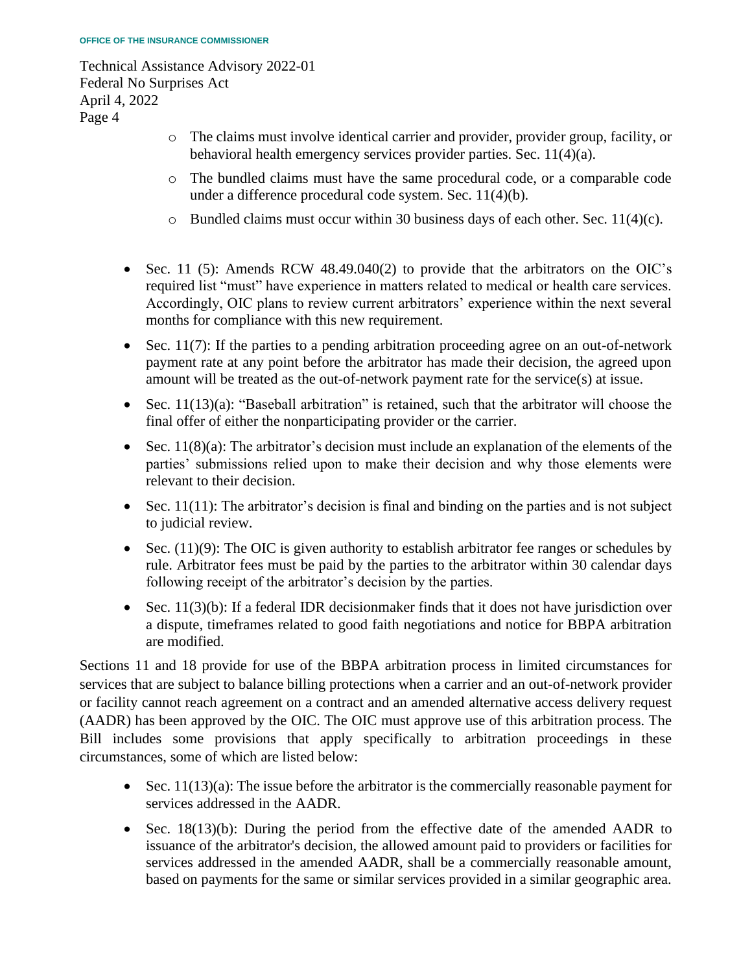- o The claims must involve identical carrier and provider, provider group, facility, or behavioral health emergency services provider parties. Sec. 11(4)(a).
- o The bundled claims must have the same procedural code, or a comparable code under a difference procedural code system. Sec. 11(4)(b).
- $\circ$  Bundled claims must occur within 30 business days of each other. Sec. 11(4)(c).
- required list "must" have experience in matters related to medical or health care services. Accordingly, OIC plans to review current arbitrators' experience within the next several • Sec. 11 (5): Amends RCW 48.49.040(2) to provide that the arbitrators on the OIC's months for compliance with this new requirement.
- payment rate at any point before the arbitrator has made their decision, the agreed upon • Sec. 11(7): If the parties to a pending arbitration proceeding agree on an out-of-network amount will be treated as the out-of-network payment rate for the service(s) at issue.
- Sec. 11(13)(a): "Baseball arbitration" is retained, such that the arbitrator will choose the final offer of either the nonparticipating provider or the carrier.
- Sec.  $11(8)(a)$ : The arbitrator's decision must include an explanation of the elements of the parties' submissions relied upon to make their decision and why those elements were relevant to their decision.
- Sec.  $11(11)$ : The arbitrator's decision is final and binding on the parties and is not subject to judicial review.
- rule. Arbitrator fees must be paid by the parties to the arbitrator within 30 calendar days • Sec.  $(11)(9)$ : The OIC is given authority to establish arbitrator fee ranges or schedules by following receipt of the arbitrator's decision by the parties.
- Sec. 11(3)(b): If a federal IDR decisionmaker finds that it does not have jurisdiction over a dispute, timeframes related to good faith negotiations and notice for BBPA arbitration are modified.

 Sections 11 and 18 provide for use of the BBPA arbitration process in limited circumstances for (AADR) has been approved by the OIC. The OIC must approve use of this arbitration process. The Bill includes some provisions that apply specifically to arbitration proceedings in these services that are subject to balance billing protections when a carrier and an out-of-network provider or facility cannot reach agreement on a contract and an amended alternative access delivery request circumstances, some of which are listed below:

- Sec. 11(13)(a): The issue before the arbitrator is the commercially reasonable payment for services addressed in the AADR.
- services addressed in the amended AADR, shall be a commercially reasonable amount, based on payments for the same or similar services provided in a similar geographic area. • Sec. 18(13)(b): During the period from the effective date of the amended AADR to issuance of the arbitrator's decision, the allowed amount paid to providers or facilities for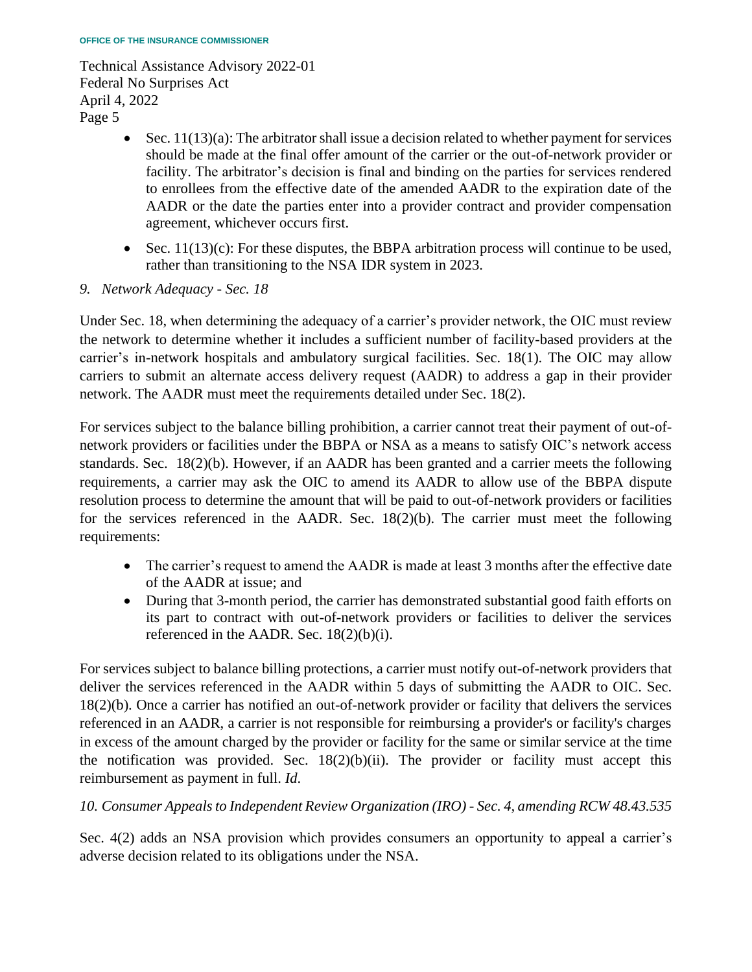- Sec.  $11(13)(a)$ : The arbitrator shall issue a decision related to whether payment for services should be made at the final offer amount of the carrier or the out-of-network provider or to enrollees from the effective date of the amended AADR to the expiration date of the AADR or the date the parties enter into a provider contract and provider compensation facility. The arbitrator's decision is final and binding on the parties for services rendered agreement, whichever occurs first.
- Sec.  $11(13)(c)$ : For these disputes, the BBPA arbitration process will continue to be used, rather than transitioning to the NSA IDR system in 2023.
- *9. Network Adequacy - Sec. 18*

 Under Sec. 18, when determining the adequacy of a carrier's provider network, the OIC must review the network to determine whether it includes a sufficient number of facility-based providers at the carriers to submit an alternate access delivery request (AADR) to address a gap in their provider carrier's in-network hospitals and ambulatory surgical facilities. Sec. 18(1). The OIC may allow network. The AADR must meet the requirements detailed under Sec. 18(2).

 requirements, a carrier may ask the OIC to amend its AADR to allow use of the BBPA dispute resolution process to determine the amount that will be paid to out-of-network providers or facilities for the services referenced in the AADR. Sec. 18(2)(b). The carrier must meet the following For services subject to the balance billing prohibition, a carrier cannot treat their payment of out-ofnetwork providers or facilities under the BBPA or NSA as a means to satisfy OIC's network access standards. Sec. 18(2)(b). However, if an AADR has been granted and a carrier meets the following requirements:

- The carrier's request to amend the AADR is made at least 3 months after the effective date of the AADR at issue; and
- During that 3-month period, the carrier has demonstrated substantial good faith efforts on its part to contract with out-of-network providers or facilities to deliver the services referenced in the AADR. Sec. 18(2)(b)(i).

 For services subject to balance billing protections, a carrier must notify out-of-network providers that 18(2)(b). Once a carrier has notified an out-of-network provider or facility that delivers the services referenced in an AADR, a carrier is not responsible for reimbursing a provider's or facility's charges deliver the services referenced in the AADR within 5 days of submitting the AADR to OIC. Sec. in excess of the amount charged by the provider or facility for the same or similar service at the time the notification was provided. Sec.  $18(2)(b)(ii)$ . The provider or facility must accept this reimbursement as payment in full. *Id*.

*10. Consumer Appeals to Independent Review Organization (IRO) - Sec. 4, amending RCW 48.43.535* 

 Sec. 4(2) adds an NSA provision which provides consumers an opportunity to appeal a carrier's adverse decision related to its obligations under the NSA.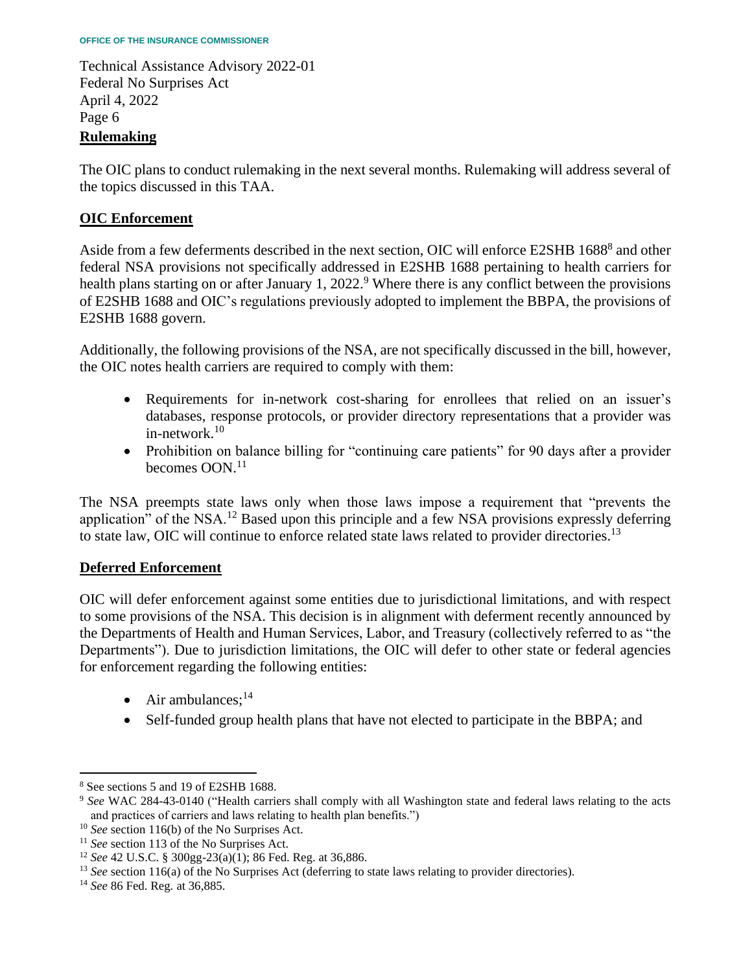The OIC plans to conduct rulemaking in the next several months. Rulemaking will address several of the topics discussed in this TAA.

# **OIC Enforcement**

Aside from a few deferments described in the next section, OIC will enforce E2SHB 1688<sup>8</sup> and other health plans starting on or after January 1, 2022.<sup>9</sup> Where there is any conflict between the provisions federal NSA provisions not specifically addressed in E2SHB 1688 pertaining to health carriers for of E2SHB 1688 and OIC's regulations previously adopted to implement the BBPA, the provisions of E2SHB 1688 govern.

Additionally, the following provisions of the NSA, are not specifically discussed in the bill, however, the OIC notes health carriers are required to comply with them:

- databases, response protocols, or provider directory representations that a provider was • Requirements for in-network cost-sharing for enrollees that relied on an issuer's [in-network.](https://in-network.10) $10$
- • Prohibition on balance billing for "continuing care patients" for 90 days after a provider becomes OON.<sup>11</sup>

 The NSA preempts state laws only when those laws impose a requirement that "prevents the application" of the NSA.<sup>12</sup> Based upon this principle and a few NSA provisions expressly deferring to state law, OIC will continue to enforce related state laws related to provider [directories.](https://directories.13)<sup>13</sup>

## **Deferred Enforcement**

 OIC will defer enforcement against some entities due to jurisdictional limitations, and with respect Departments"). Due to jurisdiction limitations, the OIC will defer to other state or federal agencies to some provisions of the NSA. This decision is in alignment with deferment recently announced by the Departments of Health and Human Services, Labor, and Treasury (collectively referred to as "the for enforcement regarding the following entities:

- Air ambulances; $^{14}$
- Self-funded group health plans that have not elected to participate in the BBPA; and

<sup>&</sup>lt;sup>8</sup> See sections 5 and 19 of E2SHB 1688.

<sup>&</sup>lt;sup>8</sup> See sections 5 and 19 of E2SHB 1688.<br><sup>9</sup> *See* WAC 284-43-0140 ("Health carriers shall comply with all Washington state and federal laws relating to the acts and practices of carriers and laws relating to health plan benefits.")

 $10$  See section 116(b) of the No Surprises Act.

<sup>&</sup>lt;sup>11</sup> See section 113 of the No Surprises Act.

<sup>&</sup>lt;sup>12</sup> See 42 U.S.C. § 300gg-23(a)(1); 86 Fed. Reg. at 36,886.

<sup>&</sup>lt;sup>10</sup> See section 116(b) of the No Surprises Act.<br><sup>11</sup> See section 113 of the No Surprises Act.<br><sup>12</sup> See 42 U.S.C. § 300gg-23(a)(1); 86 Fed. Reg. at 36,886.<br><sup>13</sup> See section 116(a) of the No Surprises Act (deferring to sta

<sup>&</sup>lt;sup>14</sup> See 86 Fed. Reg. at 36,885.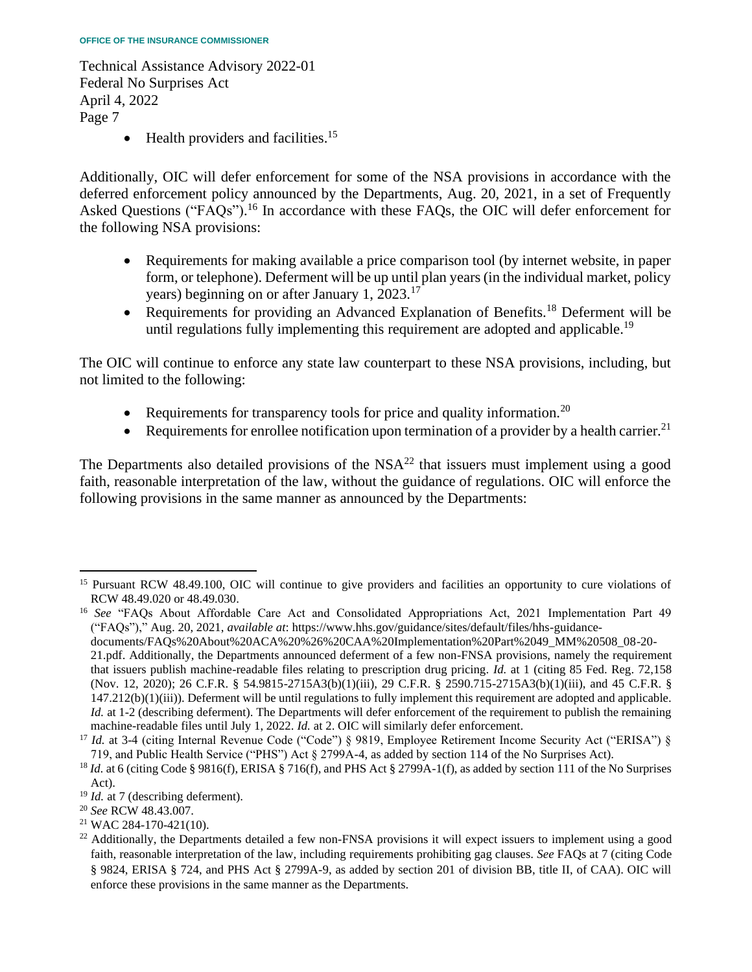• Health providers and [facilities.](https://facilities.15)<sup>15</sup>

 Additionally, OIC will defer enforcement for some of the NSA provisions in accordance with the deferred enforcement policy announced by the Departments, Aug. 20, 2021, in a set of Frequently Asked Questions (["FAQs"\).](https://FAQs�).16)<sup>16</sup> In accordance with these FAQs, the OIC will defer enforcement for the following NSA provisions:

- form, or telephone). Deferment will be up until plan years (in the individual market, policy • Requirements for making available a price comparison tool (by internet website, in paper years) beginning on or after January 1, 2023.<sup>17</sup>
- Requirements for providing an Advanced Explanation of [Benefits.](https://Benefits.18)<sup>18</sup> Deferment will be until regulations fully implementing this requirement are adopted and [applicable.](https://applicable.19)<sup>19</sup>

 The OIC will continue to enforce any state law counterpart to these NSA provisions, including, but not limited to the following:

- Requirements for transparency tools for price and quality [information.](https://information.20)<sup>20</sup>
- Requirements for enrollee notification upon termination of a provider by a health [carrier.](https://carrier.21)<sup>21</sup>

The Departments also detailed provisions of the  $NSA<sup>22</sup>$  that issuers must implement using a good faith, reasonable interpretation of the law, without the guidance of regulations. OIC will enforce the following provisions in the same manner as announced by the Departments:

documents/FAQs%20About%20ACA%20%26%20CAA%20Implementation%20Part%2049\_MM%20508\_08-20-

<sup>&</sup>lt;sup>15</sup> Pursuant RCW 48.49.100, OIC will continue to give providers and facilities an opportunity to cure violations of RCW 48.49.020 or 48.49.030. RCW 48.49.020 or 48.49.030.<br><sup>16</sup> *See* "FAQs About Affordable Care Act and Consolidated Appropriations Act, 2021 Implementation Part 49

<sup>(&</sup>quot;FAQs")," Aug. 20, 2021, *available at*: <https://www.hhs.gov/guidance/sites/default/files/hhs-guidance>-

 21.pdf. Additionally, the Departments announced deferment of a few non-FNSA provisions, namely the requirement that issuers publish machine-readable files relating to prescription drug pricing. *Id.* at 1 (citing 85 Fed. Reg. 72,158 (Nov. 12, 2020); 26 C.F.R. § 54.9815-2715A3(b)(1)(iii), 29 C.F.R. § 2590.715-2715A3(b)(1)(iii), and 45 C.F.R. § 147.212(b)(1)(iii)). Deferment will be until regulations to fully implement this requirement are adopted and applicable. *Id.* at 1-2 (describing deferment). The Departments will defer enforcement of the requirement to publish the remaining machine-readable files until July 1, 2022. Id. at 2. OIC will similarly defer enforcement. machine-readable files until July 1, 2022. *Id.* at 2. OIC will similarly defer enforcement.<br><sup>17</sup> *Id.* at 3-4 (citing Internal Revenue Code ("Code") § 9819, Employee Retirement Income Security Act ("ERISA") §

<sup>719,</sup> and Public Health Service ("PHS") Act § 2799A-4, as added by section 114 of the No Surprises Act).

<sup>719,</sup> and Public Health Service ("PHS") Act § 2799A-4, as added by section 114 of the No Surprises Act).<br><sup>18</sup> *Id.* at 6 (citing Code § 9816(f), ERISA § 716(f), and PHS Act § 2799A-1(f), as added by section 111 of the No S Act).

 $19$  *Id.* at 7 (describing deferment).

<sup>&</sup>lt;sup>19</sup> *Id.* at 7 (describing deferment).<br><sup>20</sup> *See* RCW 48.43.007.<br><sup>21</sup> WAC 284-170-421(10).<br><sup>22</sup> Additionally, the Departments detailed a few non-FNSA provisions it will expect issuers to implement using a good faith, reasonable interpretation of the law, including requirements prohibiting gag clauses. *See* FAQs at 7 (citing Code § 9824, ERISA § 724, and PHS Act § 2799A-9, as added by section 201 of division BB, title II, of CAA). OIC will enforce these provisions in the same manner as the Departments.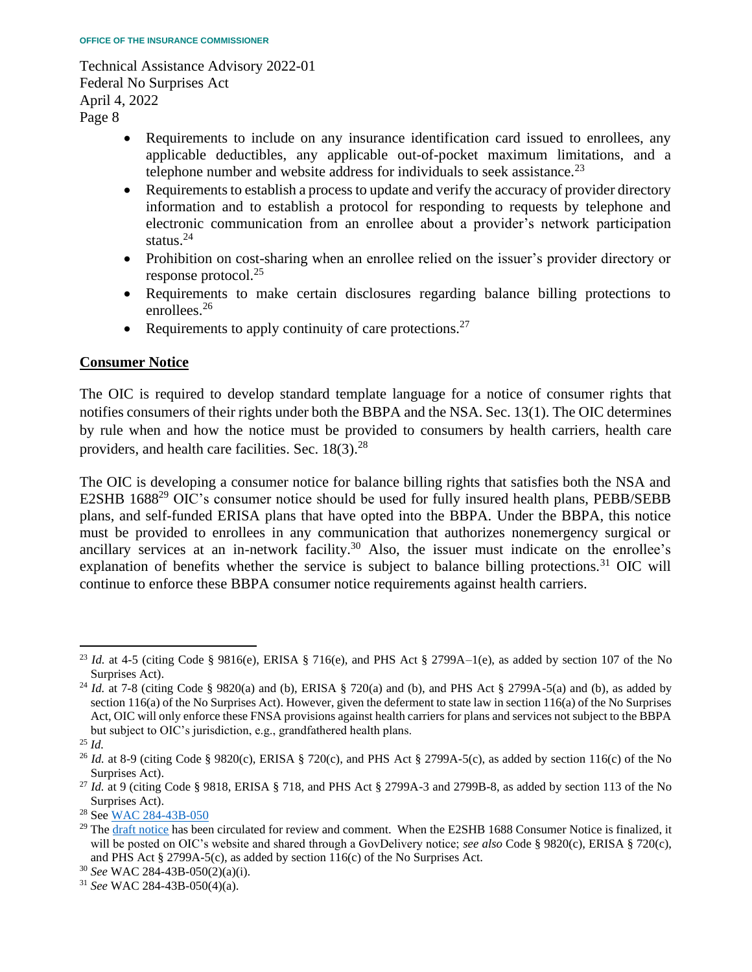- Requirements to include on any insurance identification card issued to enrollees, any applicable deductibles, any applicable out-of-pocket maximum limitations, and a telephone number and website address for individuals to seek [assistance.](https://assistance.23)<sup>23</sup>
- • Requirements to establish a process to update and verify the accuracy of provider directory information and to establish a protocol for responding to requests by telephone and electronic communication from an enrollee about a provider's network participation status. $^{24}$
- Prohibition on cost-sharing when an enrollee relied on the issuer's provider directory or response [protocol.](https://protocol.25)<sup>25</sup>
- Requirements to make certain disclosures regarding balance billing protections to [enrollees.](https://enrollees.26)<sup>26</sup>
- Requirements to apply continuity of care [protections.](https://protections.27)<sup>27</sup>

## **Consumer Notice**

 The OIC is required to develop standard template language for a notice of consumer rights that notifies consumers of their rights under both the BBPA and the NSA. Sec. 13(1). The OIC determines by rule when and how the notice must be provided to consumers by health carriers, health care providers, and health care facilities. Sec.  $18(3)$ <sup>28</sup>

 The OIC is developing a consumer notice for balance billing rights that satisfies both the NSA and E2SHB 1688<sup>29</sup> OIC's consumer notice should be used for fully insured health plans, PEBB/SEBB plans, and self-funded ERISA plans that have opted into the BBPA. Under the BBPA, this notice must be provided to enrollees in any communication that authorizes nonemergency surgical or explanation of benefits whether the service is subject to balance billing [protections.](https://protections.31)<sup>31</sup> OIC will ancillary services at an in-network [facility.](https://facility.30)<sup>30</sup> Also, the issuer must indicate on the enrollee's continue to enforce these BBPA consumer notice requirements against health carriers.

<sup>&</sup>lt;sup>23</sup> Id. at 4-5 (citing Code § 9816(e), ERISA § 716(e), and PHS Act § 2799A–1(e), as added by section 107 of the No

Surprises Act).<br><sup>24</sup> *Id.* at 7-8 (citing Code § 9820(a) and (b), ERISA § 720(a) and (b), and PHS Act § 2799A-5(a) and (b), as added by section 116(a) of the No Surprises Act). However, given the deferment to state law in section 116(a) of the No Surprises Act, OIC will only enforce these FNSA provisions against health carriers for plans and services not subject to the BBPA but subject to OIC's jurisdiction, e.g., grandfathered health plans.

<sup>25</sup> *Id.* 

<sup>&</sup>lt;sup>26</sup> Id. at 8-9 (citing Code § 9820(c), ERISA § 720(c), and PHS Act § 2799A-5(c), as added by section 116(c) of the No

Surprises Act).<br><sup>27</sup> *Id.* at 9 (citing Code § 9818, ERISA § 718, and PHS Act § 2799A-3 and 2799B-8, as added by section 113 of the No Surprises Act).<br><sup>28</sup> See WAC 284-43B-050

<sup>&</sup>lt;sup>29</sup> Th[e draft notice h](https://www.insurance.wa.gov/sites/default/files/documents/consumer-notice-bbpa-nsa-revised-for-1688-draft-004.pdf)as been circulated for review and comment. When the E2SHB 1688 Consumer Notice is finalized, it will be posted on OIC's website and shared through a GovDelivery notice; *see also* Code § 9820(c), ERISA § 720(c), and PHS Act § 2799A-5(c), as added by section 116(c) of the No Surprises Act. 30 *See* WAC 284-43B-050(2)(a)(i). 31 *See* WAC 284-43B-050(4)(a).